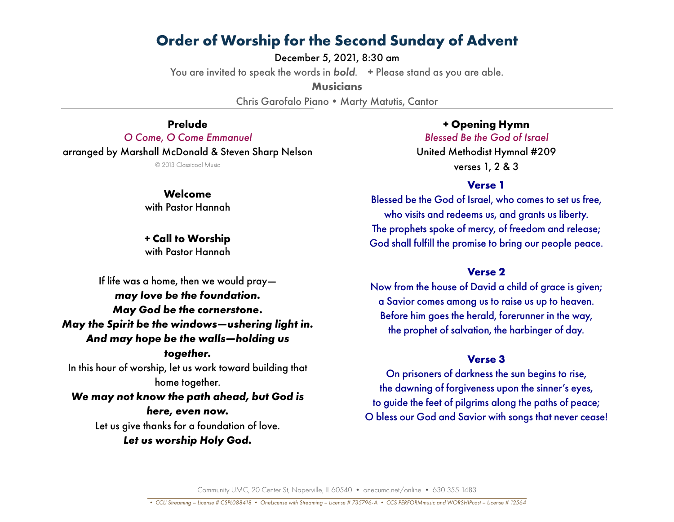December 5, 2021, 8:30 am

You are invited to speak the words in *bold*. **+** Please stand as you are able.

**Musicians**

Chris Garofalo Piano • Marty Matutis, Cantor

**Prelude** *O Come, O Come Emmanuel* arranged by Marshall McDonald & Steven Sharp Nelson © 2013 Classicool Music

> **Welcome** with Pastor Hannah

> **+ Call to Worship** with Pastor Hannah

If life was a home, then we would pray *may love be the foundation. May God be the cornerstone. May the Spirit be the windows—ushering light in. And may hope be the walls—holding us together.* In this hour of worship, let us work toward building that home together. *We may not know the path ahead, but God is* 

> *here, even now.* Let us give thanks for a foundation of love. *Let us worship Holy God.*

**+ Opening Hymn** *Blessed Be the God of Israel* United Methodist Hymnal #209 verses 1, 2 & 3

## **Verse 1**

Blessed be the God of Israel, who comes to set us free, who visits and redeems us, and grants us liberty. The prophets spoke of mercy, of freedom and release; God shall fulfill the promise to bring our people peace.

## **Verse 2**

Now from the house of David a child of grace is given; a Savior comes among us to raise us up to heaven. Before him goes the herald, forerunner in the way, the prophet of salvation, the harbinger of day.

## **Verse 3**

On prisoners of darkness the sun begins to rise, the dawning of forgiveness upon the sinner's eyes, to guide the feet of pilgrims along the paths of peace; O bless our God and Savior with songs that never cease!

Community UMC, 20 Center St, Naperville, IL 60540 • onecumc.net/online • 630 355 1483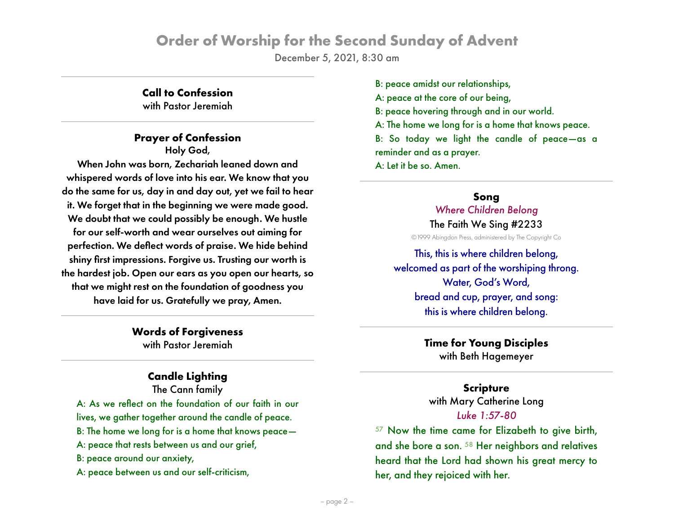December 5, 2021, 8:30 am

# **Call to Confession**

with Pastor Jeremiah

## **Prayer of Confession**

Holy God, When John was born, Zechariah leaned down and whispered words of love into his ear. We know that you do the same for us, day in and day out, yet we fail to hear it. We forget that in the beginning we were made good. We doubt that we could possibly be enough. We hustle for our self-worth and wear ourselves out aiming for perfection. We deflect words of praise. We hide behind shiny first impressions. Forgive us. Trusting our worth is the hardest job. Open our ears as you open our hearts, so that we might rest on the foundation of goodness you have laid for us. Gratefully we pray, Amen.

> **Words of Forgiveness** with Pastor Jeremiah

# **Candle Lighting**

The Cann family A: As we reflect on the foundation of our faith in our lives, we gather together around the candle of peace. B: The home we long for is a home that knows peace— A: peace that rests between us and our grief, B: peace around our anxiety, A: peace between us and our self-criticism,

B: peace amidst our relationships, A: peace at the core of our being, B: peace hovering through and in our world. A: The home we long for is a home that knows peace. B: So today we light the candle of peace—as a reminder and as a prayer. A: Let it be so. Amen.

# **Song** *Where Children Belong*

The Faith We Sing #2233

©1999 Abingdon Press, administered by The Copyright Co

This, this is where children belong, welcomed as part of the worshiping throng. Water, God's Word, bread and cup, prayer, and song: this is where children belong.

> **Time for Young Disciples** with Beth Hagemeyer

## **Scripture** with Mary Catherine Long *Luke 1:57-80*

<sup>57</sup> Now the time came for Elizabeth to give birth, and she bore a son. <sup>58</sup> Her neighbors and relatives heard that the Lord had shown his great mercy to her, and they rejoiced with her.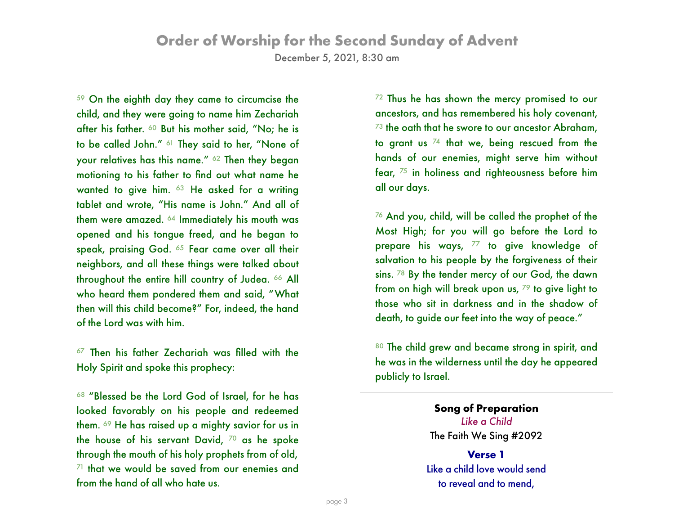December 5, 2021, 8:30 am

<sup>59</sup> On the eighth day they came to circumcise the child, and they were going to name him Zechariah after his father. <sup>60</sup> But his mother said, "No; he is to be called John." <sup>61</sup> They said to her, "None of your relatives has this name." <sup>62</sup> Then they began motioning to his father to find out what name he wanted to give him. <sup>63</sup> He asked for a writing tablet and wrote, "His name is John." And all of them were amazed. <sup>64</sup> Immediately his mouth was opened and his tongue freed, and he began to speak, praising God. 65 Fear came over all their neighbors, and all these things were talked about throughout the entire hill country of Judea. <sup>66</sup> All who heard them pondered them and said, "What then will this child become?" For, indeed, the hand of the Lord was with him.

<sup>67</sup> Then his father Zechariah was filled with the Holy Spirit and spoke this prophecy:

<sup>68</sup> "Blessed be the Lord God of Israel, for he has looked favorably on his people and redeemed them. 69 He has raised up a mighty savior for us in the house of his servant David,  $70$  as he spoke through the mouth of his holy prophets from of old,  $71$  that we would be saved from our enemies and from the hand of all who hate us.

<sup>72</sup> Thus he has shown the mercy promised to our ancestors, and has remembered his holy covenant,  $73$  the oath that he swore to our ancestor Abraham, to grant us  $74$  that we, being rescued from the hands of our enemies, might serve him without fear, <sup>75</sup> in holiness and righteousness before him all our days.

<sup>76</sup> And you, child, will be called the prophet of the Most High; for you will go before the Lord to prepare his ways,  $77$  to give knowledge of salvation to his people by the forgiveness of their sins. <sup>78</sup> By the tender mercy of our God, the dawn from on high will break upon us,  $79$  to give light to those who sit in darkness and in the shadow of death, to guide our feet into the way of peace."

80 The child grew and became strong in spirit, and he was in the wilderness until the day he appeared publicly to Israel.

> **Song of Preparation** *Like a Child* The Faith We Sing #2092

**Verse 1** Like a child love would send to reveal and to mend,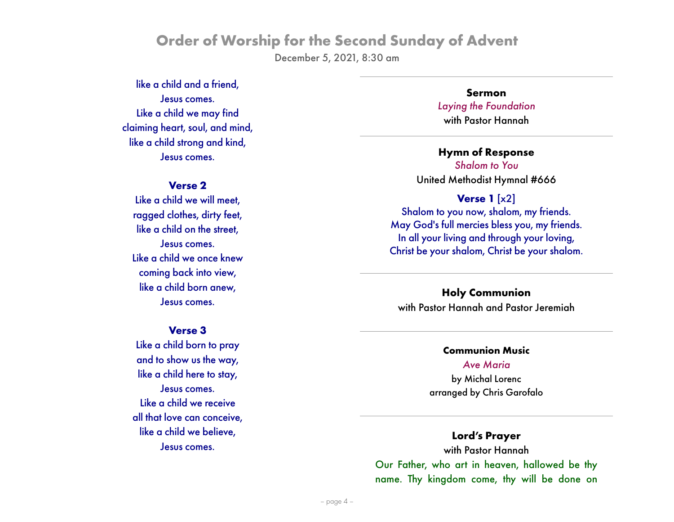December 5, 2021, 8:30 am

like a child and a friend, Jesus comes. Like a child we may find claiming heart, soul, and mind, like a child strong and kind, Jesus comes.

#### **Verse 2**

Like a child we will meet, ragged clothes, dirty feet, like a child on the street, Jesus comes. Like a child we once knew coming back into view, like a child born anew, Jesus comes.

#### **Verse 3**

Like a child born to pray and to show us the way, like a child here to stay, Jesus comes. Like a child we receive all that love can conceive, like a child we believe, Jesus comes.

**Sermon** *Laying the Foundation* with Pastor Hannah

**Hymn of Response** *Shalom to You* United Methodist Hymnal #666

#### **Verse 1** [x2]

Shalom to you now, shalom, my friends. May God's full mercies bless you, my friends. In all your living and through your loving, Christ be your shalom, Christ be your shalom.

**Holy Communion** with Pastor Hannah and Pastor Jeremiah

#### **Communion Music**

*Ave Maria* by Michal Lorenc arranged by Chris Garofalo

#### **Lord's Prayer**

with Pastor Hannah Our Father, who art in heaven, hallowed be thy name. Thy kingdom come, thy will be done on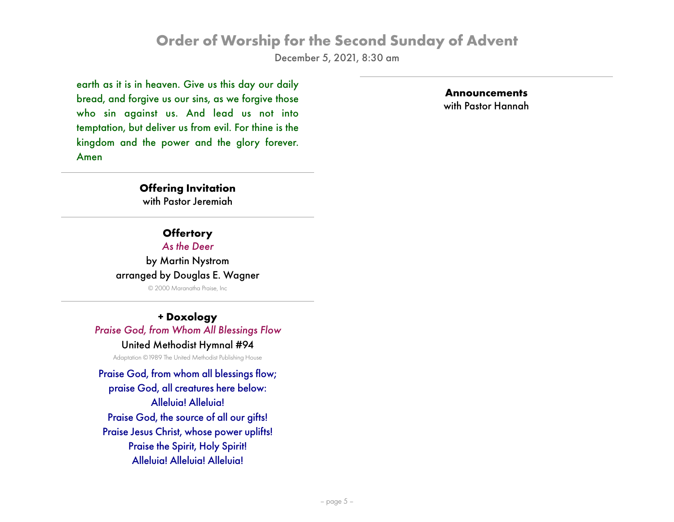December 5, 2021, 8:30 am

earth as it is in heaven. Give us this day our daily bread, and forgive us our sins, as we forgive those who sin against us. And lead us not into temptation, but deliver us from evil. For thine is the kingdom and the power and the glory forever. Amen

**Announcements** with Pastor Hannah

#### **Offering Invitation**

with Pastor Jeremiah

#### **Offertory** *As the Deer*

by Martin Nystrom arranged by Douglas E. Wagner

© 2000 Maranatha Praise, Inc

# **+ Doxology** *Praise God, from Whom All Blessings Flow*

#### United Methodist Hymnal #94

Adaptation ©1989 The United Methodist Publishing House

Praise God, from whom all blessings flow; praise God, all creatures here below: Alleluia! Alleluia! Praise God, the source of all our gifts! Praise Jesus Christ, whose power uplifts! Praise the Spirit, Holy Spirit! Alleluia! Alleluia! Alleluia!